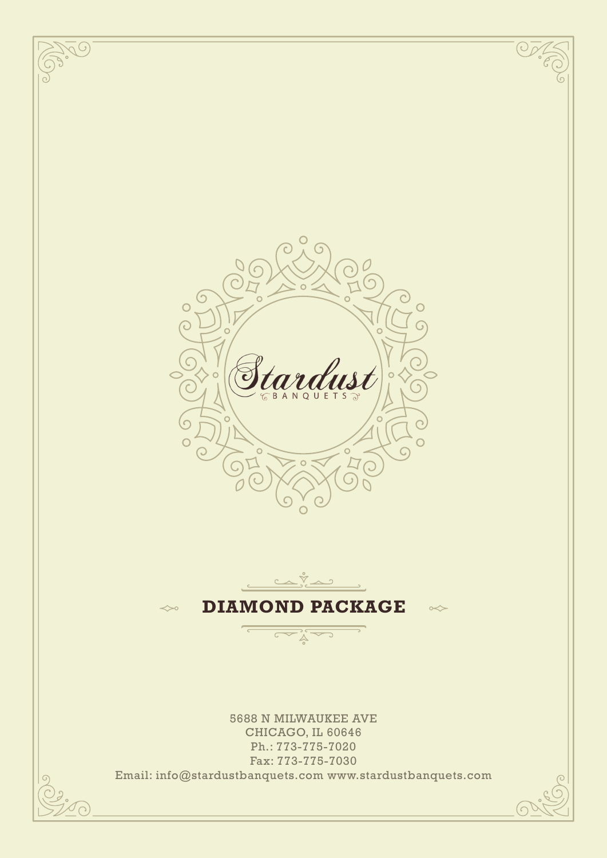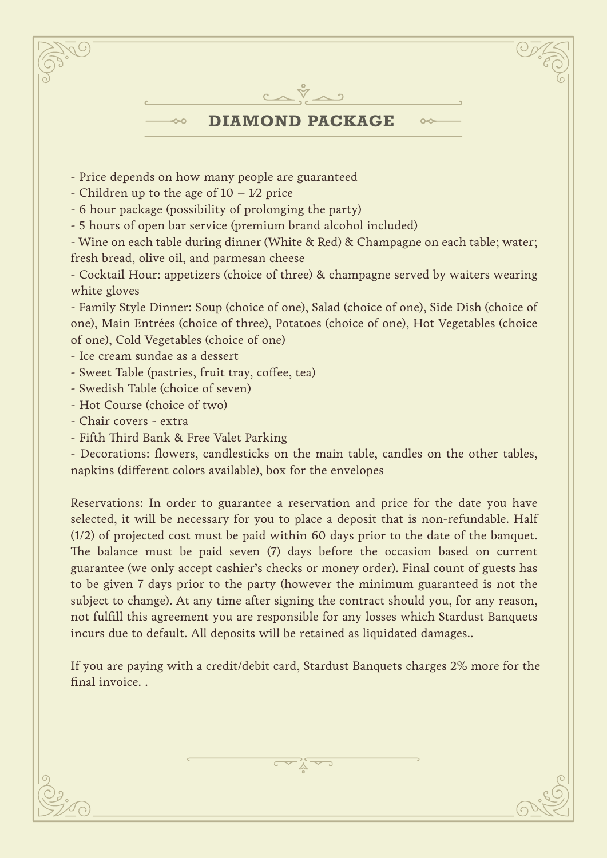

- Wine on each table during dinner (White & Red) & Champagne on each table; water; fresh bread, olive oil, and parmesan cheese

- Cocktail Hour: appetizers (choice of three) & champagne served by waiters wearing white gloves

- Family Style Dinner: Soup (choice of one), Salad (choice of one), Side Dish (choice of one), Main Entrées (choice of three), Potatoes (choice of one), Hot Vegetables (choice of one), Cold Vegetables (choice of one)

- Ice cream sundae as a dessert
- Sweet Table (pastries, fruit tray, coffee, tea)
- Swedish Table (choice of seven)
- Hot Course (choice of two)
- Chair covers extra
- Fifth Third Bank & Free Valet Parking

- Decorations: flowers, candlesticks on the main table, candles on the other tables, napkins (different colors available), box for the envelopes

Reservations: In order to guarantee a reservation and price for the date you have selected, it will be necessary for you to place a deposit that is non-refundable. Half (1/2) of projected cost must be paid within 60 days prior to the date of the banquet. The balance must be paid seven (7) days before the occasion based on current guarantee (we only accept cashier's checks or money order). Final count of guests has to be given 7 days prior to the party (however the minimum guaranteed is not the subject to change). At any time after signing the contract should you, for any reason, not fulfill this agreement you are responsible for any losses which Stardust Banquets incurs due to default. All deposits will be retained as liquidated damages..

If you are paying with a credit/debit card, Stardust Banquets charges 2% more for the final invoice. .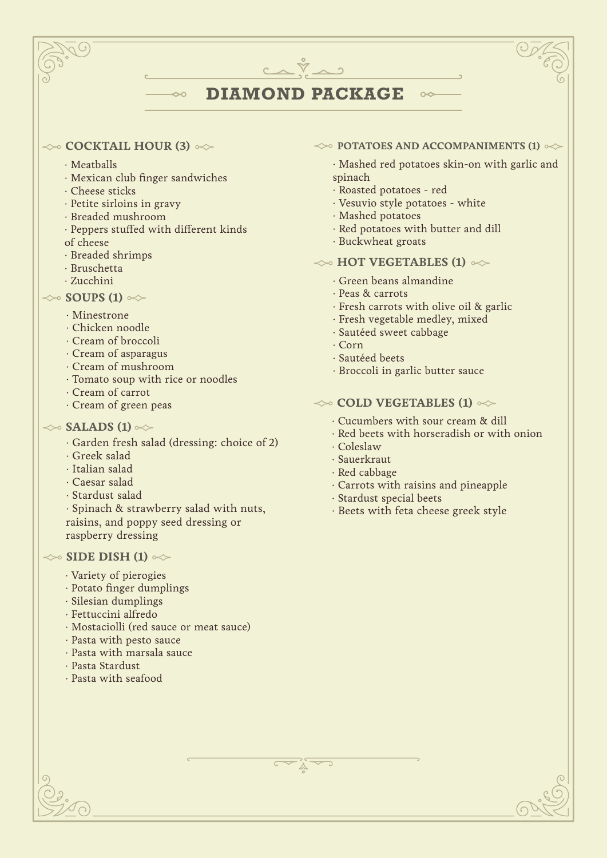## **DIAMOND PACKAGE**

 $C\wedge\breve{\nabla}\wedge 2$ 

#### $\iff$  **COCKTAIL HOUR (3)**  $\iff$

- ∙ Meatballs
- ∙ Mexican club finger sandwiches

 $\rightsquigarrow$ 

- ∙ Cheese sticks
- ∙ Petite sirloins in gravy
- ∙ Breaded mushroom
- Peppers stuffed with different kinds
- of cheese
- ∙ Breaded shrimps
- ∙ Bruschetta
- ∙ Zucchini

### $\gg$  **SOUPS (1)**  $\ll$

- · Minestrone
- · Chicken noodle
- · Cream of broccoli
- · Cream of asparagus
- · Cream of mushroom
- · Tomato soup with rice or noodles
- · Cream of carrot
- · Cream of green peas

## $\gg$  **SALADS (1)**  $\ll$

- · Garden fresh salad (dressing: choice of 2)
- · Greek salad
- · Italian salad
- · Caesar salad
- · Stardust salad
- · Spinach & strawberry salad with nuts, raisins, and poppy seed dressing or raspberry dressing

#### $\ll$  **SIDE DISH (1)**  $\ll$

- · Variety of pierogies
- · Potato finger dumplings
- · Silesian dumplings
- · Fettuccini alfredo
- · Mostaciolli (red sauce or meat sauce)
- · Pasta with pesto sauce
- · Pasta with marsala sauce
- · Pasta Stardust
- · Pasta with seafood

#### $\leftrightarrow$  **POTATOES AND ACCOMPANIMENTS (1)**  $\leftrightarrow$

 $\sim$ 

· Mashed red potatoes skin-on with garlic and spinach

- · Roasted potatoes red
- · Vesuvio style potatoes white
- · Mashed potatoes
- · Red potatoes with butter and dill
- · Buckwheat groats

#### $\leftrightarrow$  **HOT VEGETABLES (1)**  $\infty$

- · Green beans almandine
- · Peas & carrots
- · Fresh carrots with olive oil & garlic
- · Fresh vegetable medley, mixed
- · Sautéed sweet cabbage
- · Corn
- · Sautéed beets
- · Broccoli in garlic butter sauce

#### $\leftrightarrow$  **COLD VEGETABLES (1)**  $\leftrightarrow$

- · Cucumbers with sour cream & dill
- · Red beets with horseradish or with onion
- · Coleslaw
- · Sauerkraut
- · Red cabbage
- · Carrots with raisins and pineapple
- · Stardust special beets
- · Beets with feta cheese greek style